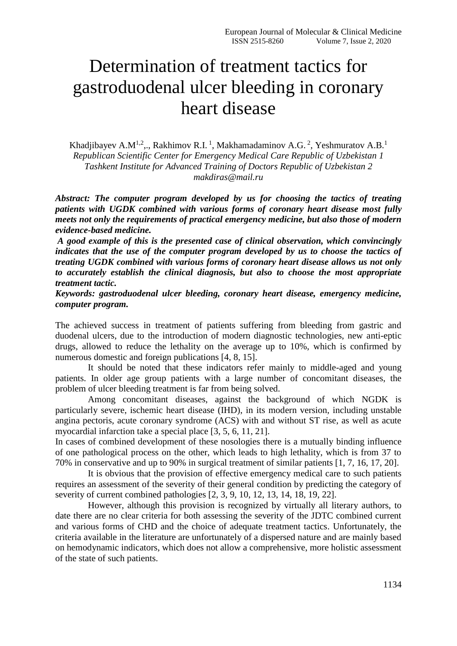# Determination of treatment tactics for gastroduodenal ulcer bleeding in coronary heart disease

Khadjibayev A.M<sup>1,2</sup>,., Rakhimov R.I.<sup>1</sup>, Makhamadaminov A.G.<sup>2</sup>, Yeshmuratov A.B.<sup>1</sup> *Republican Scientific Center for Emergency Medical Care Republic of Uzbekistan 1 Tashkent Institute for Advanced Training of Doctors Republic of Uzbekistan 2 makdiras@mail.ru*

*Abstract: The computer program developed by us for choosing the tactics of treating patients with UGDK combined with various forms of coronary heart disease most fully meets not only the requirements of practical emergency medicine, but also those of modern evidence-based medicine.*

*A good example of this is the presented case of clinical observation, which convincingly indicates that the use of the computer program developed by us to choose the tactics of treating UGDK combined with various forms of coronary heart disease allows us not only to accurately establish the clinical diagnosis, but also to choose the most appropriate treatment tactic.*

*Keywords: gastroduodenal ulcer bleeding, coronary heart disease, emergency medicine, computer program.*

The achieved success in treatment of patients suffering from bleeding from gastric and duodenal ulcers, due to the introduction of modern diagnostic technologies, new anti-eptic drugs, allowed to reduce the lethality on the average up to 10%, which is confirmed by numerous domestic and foreign publications [4, 8, 15].

It should be noted that these indicators refer mainly to middle-aged and young patients. In older age group patients with a large number of concomitant diseases, the problem of ulcer bleeding treatment is far from being solved.

Among concomitant diseases, against the background of which NGDK is particularly severe, ischemic heart disease (IHD), in its modern version, including unstable angina pectoris, acute coronary syndrome (ACS) with and without ST rise, as well as acute myocardial infarction take a special place [3, 5, 6, 11, 21].

In cases of combined development of these nosologies there is a mutually binding influence of one pathological process on the other, which leads to high lethality, which is from 37 to 70% in conservative and up to 90% in surgical treatment of similar patients [1, 7, 16, 17, 20].

It is obvious that the provision of effective emergency medical care to such patients requires an assessment of the severity of their general condition by predicting the category of severity of current combined pathologies [2, 3, 9, 10, 12, 13, 14, 18, 19, 22].

However, although this provision is recognized by virtually all literary authors, to date there are no clear criteria for both assessing the severity of the JDTC combined current and various forms of CHD and the choice of adequate treatment tactics. Unfortunately, the criteria available in the literature are unfortunately of a dispersed nature and are mainly based on hemodynamic indicators, which does not allow a comprehensive, more holistic assessment of the state of such patients.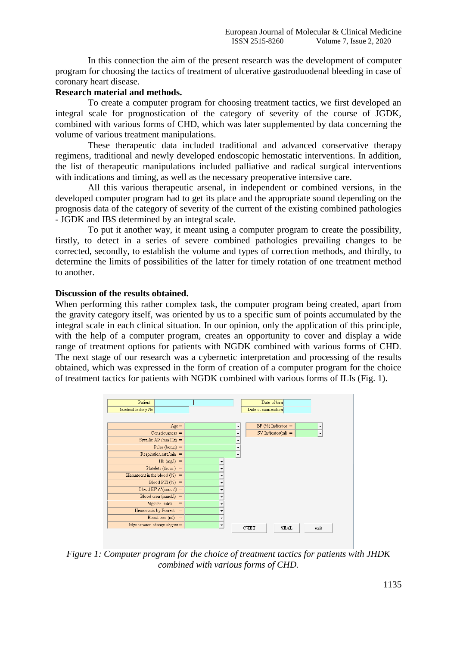In this connection the aim of the present research was the development of computer program for choosing the tactics of treatment of ulcerative gastroduodenal bleeding in case of coronary heart disease.

## **Research material and methods.**

To create a computer program for choosing treatment tactics, we first developed an integral scale for prognostication of the category of severity of the course of JGDK, combined with various forms of CHD, which was later supplemented by data concerning the volume of various treatment manipulations.

These therapeutic data included traditional and advanced conservative therapy regimens, traditional and newly developed endoscopic hemostatic interventions. In addition, the list of therapeutic manipulations included palliative and radical surgical interventions with indications and timing, as well as the necessary preoperative intensive care.

All this various therapeutic arsenal, in independent or combined versions, in the developed computer program had to get its place and the appropriate sound depending on the prognosis data of the category of severity of the current of the existing combined pathologies - JGDK and IBS determined by an integral scale.

To put it another way, it meant using a computer program to create the possibility, firstly, to detect in a series of severe combined pathologies prevailing changes to be corrected, secondly, to establish the volume and types of correction methods, and thirdly, to determine the limits of possibilities of the latter for timely rotation of one treatment method to another.

## **Discussion of the results obtained.**

When performing this rather complex task, the computer program being created, apart from the gravity category itself, was oriented by us to a specific sum of points accumulated by the integral scale in each clinical situation. In our opinion, only the application of this principle, with the help of a computer program, creates an opportunity to cover and display a wide range of treatment options for patients with NGDK combined with various forms of CHD. The next stage of our research was a cybernetic interpretation and processing of the results obtained, which was expressed in the form of creation of a computer program for the choice of treatment tactics for patients with NGDK combined with various forms of ILIs (Fig. 1).



*Figure 1: Computer program for the choice of treatment tactics for patients with JHDK combined with various forms of CHD.*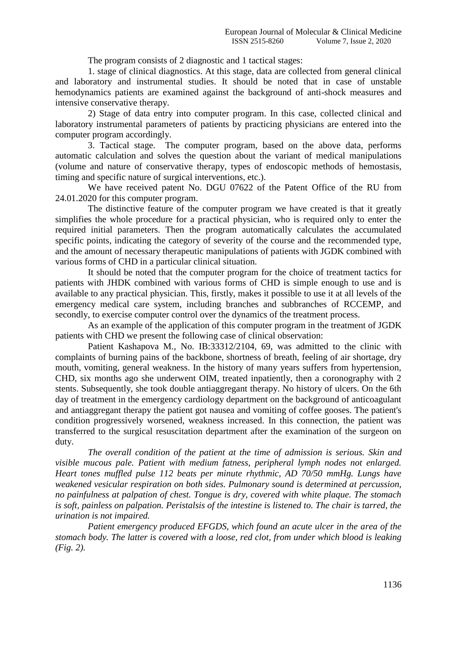The program consists of 2 diagnostic and 1 tactical stages:

1. stage of clinical diagnostics. At this stage, data are collected from general clinical and laboratory and instrumental studies. It should be noted that in case of unstable hemodynamics patients are examined against the background of anti-shock measures and intensive conservative therapy.

2) Stage of data entry into computer program. In this case, collected clinical and laboratory instrumental parameters of patients by practicing physicians are entered into the computer program accordingly.

3. Tactical stage. The computer program, based on the above data, performs automatic calculation and solves the question about the variant of medical manipulations (volume and nature of conservative therapy, types of endoscopic methods of hemostasis, timing and specific nature of surgical interventions, etc.).

We have received patent No. DGU 07622 of the Patent Office of the RU from 24.01.2020 for this computer program.

The distinctive feature of the computer program we have created is that it greatly simplifies the whole procedure for a practical physician, who is required only to enter the required initial parameters. Then the program automatically calculates the accumulated specific points, indicating the category of severity of the course and the recommended type, and the amount of necessary therapeutic manipulations of patients with JGDK combined with various forms of CHD in a particular clinical situation.

It should be noted that the computer program for the choice of treatment tactics for patients with JHDK combined with various forms of CHD is simple enough to use and is available to any practical physician. This, firstly, makes it possible to use it at all levels of the emergency medical care system, including branches and subbranches of RCCEMP, and secondly, to exercise computer control over the dynamics of the treatment process.

As an example of the application of this computer program in the treatment of JGDK patients with CHD we present the following case of clinical observation:

Patient Kashapova M., No. IB:33312/2104, 69, was admitted to the clinic with complaints of burning pains of the backbone, shortness of breath, feeling of air shortage, dry mouth, vomiting, general weakness. In the history of many years suffers from hypertension, CHD, six months ago she underwent OIM, treated inpatiently, then a coronography with 2 stents. Subsequently, she took double antiaggregant therapy. No history of ulcers. On the 6th day of treatment in the emergency cardiology department on the background of anticoagulant and antiaggregant therapy the patient got nausea and vomiting of coffee gooses. The patient's condition progressively worsened, weakness increased. In this connection, the patient was transferred to the surgical resuscitation department after the examination of the surgeon on duty.

*The overall condition of the patient at the time of admission is serious. Skin and visible mucous pale. Patient with medium fatness, peripheral lymph nodes not enlarged. Heart tones muffled pulse 112 beats per minute rhythmic, AD 70/50 mmHg. Lungs have weakened vesicular respiration on both sides. Pulmonary sound is determined at percussion, no painfulness at palpation of chest. Tongue is dry, covered with white plaque. The stomach is soft, painless on palpation. Peristalsis of the intestine is listened to. The chair is tarred, the urination is not impaired.* 

*Patient emergency produced EFGDS, which found an acute ulcer in the area of the stomach body. The latter is covered with a loose, red clot, from under which blood is leaking (Fig. 2).*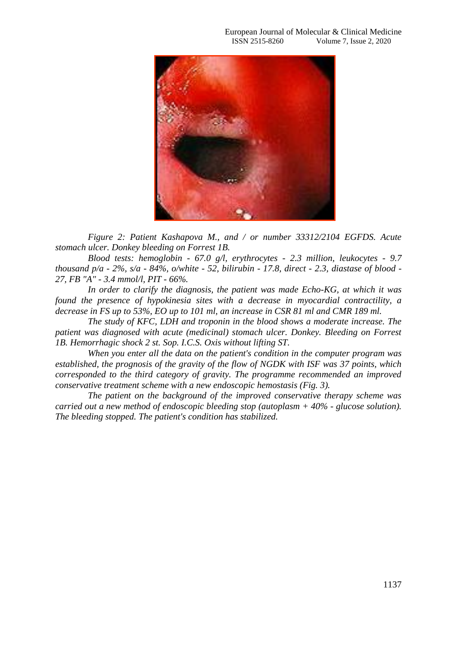

*Figure 2: Patient Kashapova M., and / or number 33312/2104 EGFDS. Acute stomach ulcer. Donkey bleeding on Forrest 1B.*

*Blood tests: hemoglobin - 67.0 g/l, erythrocytes - 2.3 million, leukocytes - 9.7 thousand p/a - 2%, s/a - 84%, o/white - 52, bilirubin - 17.8, direct - 2.3, diastase of blood - 27, FB "A" - 3.4 mmol/l, PIT - 66%.*

*In order to clarify the diagnosis, the patient was made Echo-KG, at which it was found the presence of hypokinesia sites with a decrease in myocardial contractility, a decrease in FS up to 53%, EO up to 101 ml, an increase in CSR 81 ml and CMR 189 ml.* 

*The study of KFC, LDH and troponin in the blood shows a moderate increase. The patient was diagnosed with acute (medicinal) stomach ulcer. Donkey. Bleeding on Forrest 1B. Hemorrhagic shock 2 st. Sop. I.C.S. Oxis without lifting ST.* 

*When you enter all the data on the patient's condition in the computer program was established, the prognosis of the gravity of the flow of NGDK with ISF was 37 points, which corresponded to the third category of gravity. The programme recommended an improved conservative treatment scheme with a new endoscopic hemostasis (Fig. 3).*

*The patient on the background of the improved conservative therapy scheme was carried out a new method of endoscopic bleeding stop (autoplasm + 40% - glucose solution). The bleeding stopped. The patient's condition has stabilized.*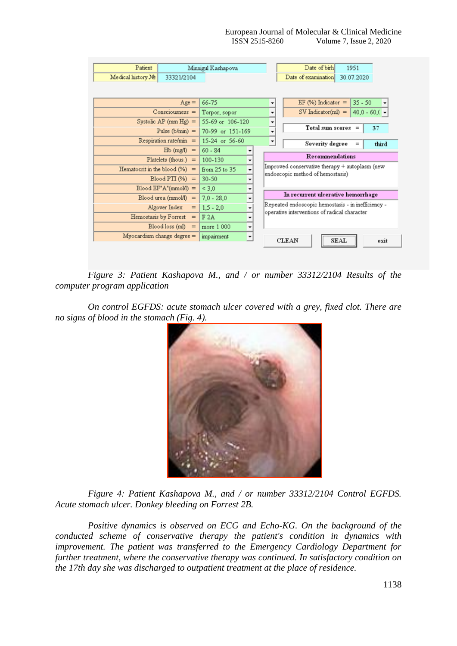| Patient                          |                             | Minnigul Kashapova       |                                                                                         |                          | Date of birh                                                                                                                             |                      | 1951       |                    |  |
|----------------------------------|-----------------------------|--------------------------|-----------------------------------------------------------------------------------------|--------------------------|------------------------------------------------------------------------------------------------------------------------------------------|----------------------|------------|--------------------|--|
| Medical history No<br>33321/2104 |                             |                          |                                                                                         |                          | Date of examination                                                                                                                      |                      | 30.07.2020 |                    |  |
|                                  |                             |                          |                                                                                         |                          |                                                                                                                                          |                      |            |                    |  |
| $Age =$                          |                             | 66-75                    |                                                                                         |                          | EF $(\%)$ Indicator =<br>$35 - 50$                                                                                                       |                      |            |                    |  |
| $Consciousness =$                |                             | Torpor, sopor            |                                                                                         | ۰                        |                                                                                                                                          | $SV$ Indicator(ml) = |            | 40,0 - 60,0 $\sim$ |  |
| Systolic AP $(mm Hg) =$          |                             | 55-69 or 106-120         |                                                                                         | $\overline{\phantom{a}}$ |                                                                                                                                          |                      |            |                    |  |
| Pulse ( $b/min$ ) =              |                             | 70-99 or 151-169         |                                                                                         | $\overline{\phantom{a}}$ | Total sum scores                                                                                                                         |                      | $\equiv$   | 37                 |  |
| $Respiration rate/min =$         |                             | 15-24 or 56-60           |                                                                                         | $\overline{\phantom{a}}$ | Severity degree                                                                                                                          |                      | $=$        | third              |  |
| $Hb$ (mg/l) =                    |                             | $60 - 84$                |                                                                                         |                          | Recommendations                                                                                                                          |                      |            |                    |  |
| Platelets (thous.) $=$           |                             | 100-130                  | ۰                                                                                       |                          |                                                                                                                                          |                      |            |                    |  |
| Hematocrit in the blood $(\%)$ = |                             | from 25 to 35            | Improved conservative therapy + autoplasm (new<br>۰<br>endoscopic method of hemostasis) |                          |                                                                                                                                          |                      |            |                    |  |
| $Blood PTI (%) =$                |                             | $30 - 50$                |                                                                                         |                          |                                                                                                                                          |                      |            |                    |  |
| $Blood EF'A''(mmol) =$           |                             | < 3.0                    | ۰                                                                                       |                          | In recurrent ulcerative hemorrhage<br>Repeated endoscopic hemostasis - in inefficiency -<br>operative interventions of radical character |                      |            |                    |  |
| $Blood$ urea (mmol/l) =          |                             | $7.0 - 28.0$             | ٠                                                                                       |                          |                                                                                                                                          |                      |            |                    |  |
| Algover Index<br>$=$             |                             | $1.5 - 2.0$              | ▼                                                                                       |                          |                                                                                                                                          |                      |            |                    |  |
| Hemostasis by Forrest $=$        |                             | F 2A                     | ۰                                                                                       |                          |                                                                                                                                          |                      |            |                    |  |
|                                  | $\text{ Blood loss (ml)} =$ | more 1 000               | ٠                                                                                       |                          |                                                                                                                                          |                      |            |                    |  |
| $Myocardium change degree =$     | impairment                  | $\overline{\phantom{a}}$ |                                                                                         | <b>CLEAN</b>             | <b>SEAL</b>                                                                                                                              |                      | exit       |                    |  |
|                                  |                             |                          |                                                                                         |                          |                                                                                                                                          |                      |            |                    |  |

*Figure 3: Patient Kashapova M., and / or number 33312/2104 Results of the computer program application*

*On control EGFDS: acute stomach ulcer covered with a grey, fixed clot. There are no signs of blood in the stomach (Fig. 4).*



*Figure 4: Patient Kashapova M., and / or number 33312/2104 Control EGFDS. Acute stomach ulcer. Donkey bleeding on Forrest 2B.*

*Positive dynamics is observed on ECG and Echo-KG. On the background of the conducted scheme of conservative therapy the patient's condition in dynamics with improvement. The patient was transferred to the Emergency Cardiology Department for further treatment, where the conservative therapy was continued. In satisfactory condition on the 17th day she was discharged to outpatient treatment at the place of residence.*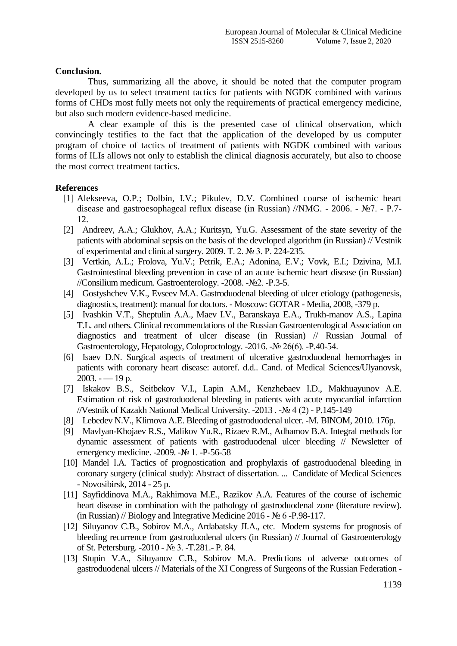## **Conclusion.**

Thus, summarizing all the above, it should be noted that the computer program developed by us to select treatment tactics for patients with NGDK combined with various forms of CHDs most fully meets not only the requirements of practical emergency medicine, but also such modern evidence-based medicine.

A clear example of this is the presented case of clinical observation, which convincingly testifies to the fact that the application of the developed by us computer program of choice of tactics of treatment of patients with NGDK combined with various forms of ILIs allows not only to establish the clinical diagnosis accurately, but also to choose the most correct treatment tactics.

## **References**

- [1] Alekseeva, O.P.; Dolbin, I.V.; Pikulev, D.V. Combined course of ischemic heart disease and gastroesophageal reflux disease (in Russian) //NMG. - 2006. - №7. - P.7- 12.
- [2] Andreev, A.A.; Glukhov, A.A.; Kuritsyn, Yu.G. Assessment of the state severity of the patients with abdominal sepsis on the basis of the developed algorithm (in Russian) // Vestnik of experimental and clinical surgery. 2009. Т. 2. № 3. P. 224-235.
- [3] Vertkin, A.L.; Frolova, Yu.V.; Petrik, E.A.; Adonina, E.V.; Vovk, E.I.; Dzivina, M.I. Gastrointestinal bleeding prevention in case of an acute ischemic heart disease (in Russian) //Consilium medicum. Gastroenterology. -2008. -№2. -P.3-5.
- [4] Gostyshchev V.K., Evseev M.A. Gastroduodenal bleeding of ulcer etiology (pathogenesis, diagnostics, treatment): manual for doctors. - Moscow: GOTAR - Media, 2008, -379 p.
- [5] Ivashkin V.T., Sheptulin A.A., Maev I.V., Baranskaya E.A., Trukh-manov A.S., Lapina T.L. and others. Clinical recommendations of the Russian Gastroenterological Association on diagnostics and treatment of ulcer disease (in Russian) // Russian Journal of Gastroenterology, Hepatology, Coloproctology. -2016. -№ 26(6). -P.40-54.
- [6] Isaev D.N. Surgical aspects of treatment of ulcerative gastroduodenal hemorrhages in patients with coronary heart disease: autoref. d.d.. Cand. of Medical Sciences/Ulyanovsk,  $2003. - 19$  p.
- [7] Iskakov B.S., Seitbekov V.I., Lapin A.M., Kenzhebaev I.D., Makhuayunov A.E. Estimation of risk of gastroduodenal bleeding in patients with acute myocardial infarction //Vestnik of Kazakh National Medical University. -2013 . -№ 4 (2) - P.145-149
- [8] Lebedev N.V., Klimova A.E. Bleeding of gastroduodenal ulcer. -M. BINOM, 2010. 176p.
- [9] Mavlyan-Khojaev R.S., Malikov Yu.R., Rizaev R.M., Adhamov B.A. Integral methods for dynamic assessment of patients with gastroduodenal ulcer bleeding // Newsletter of emergency medicine. -2009. -№ 1. -P-56-58
- [10] Mandel I.A. Tactics of prognostication and prophylaxis of gastroduodenal bleeding in coronary surgery (clinical study): Abstract of dissertation. ... Candidate of Medical Sciences - Novosibirsk, 2014 - 25 p.
- [11] Sayfiddinova M.A., Rakhimova M.E., Razikov A.A. Features of the course of ischemic heart disease in combination with the pathology of gastroduodenal zone (literature review). (in Russian) // Biology and Integrative Medicine 2016 - № 6 -P.98-117.
- [12] Siluyanov C.B., Sobirov M.A., Ardabatsky JI.A., etc. Modern systems for prognosis of bleeding recurrence from gastroduodenal ulcers (in Russian) // Journal of Gastroenterology of St. Petersburg. -2010 - № 3. -T.281.- P. 84.
- [13] Stupin V.A., Siluyanov C.B., Sobirov M.A. Predictions of adverse outcomes of gastroduodenal ulcers // Materials of the XI Congress of Surgeons of the Russian Federation -